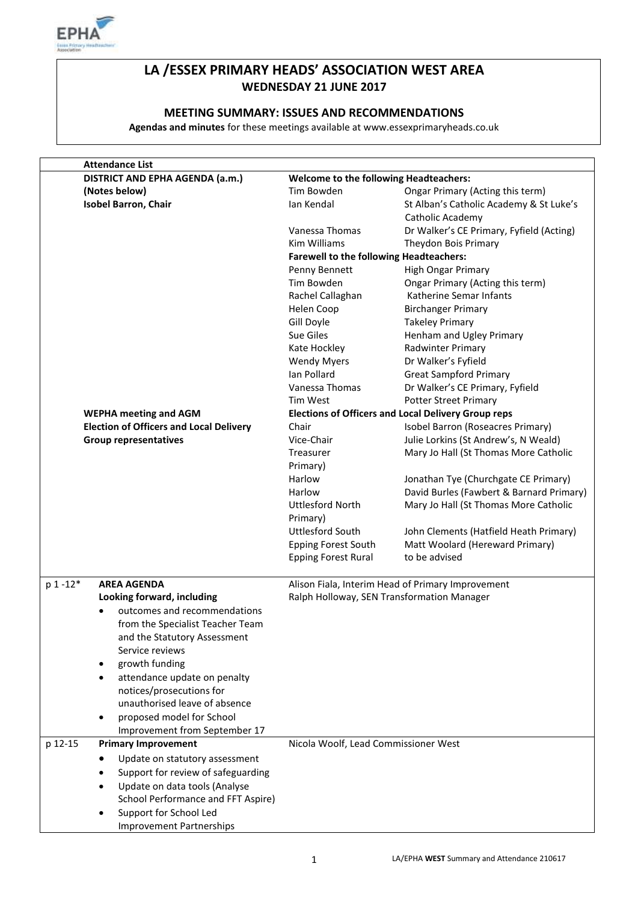

## **LA /ESSEX PRIMARY HEADS' ASSOCIATION WEST AREA WEDNESDAY 21 JUNE 2017**

#### **MEETING SUMMARY: ISSUES AND RECOMMENDATIONS**

**Agendas and minutes** for these meetings available at www.essexprimaryheads.co.uk

| <b>Attendance List</b>                                                                                                                                         |                                                |                                                             |
|----------------------------------------------------------------------------------------------------------------------------------------------------------------|------------------------------------------------|-------------------------------------------------------------|
| DISTRICT AND EPHA AGENDA (a.m.)                                                                                                                                | <b>Welcome to the following Headteachers:</b>  |                                                             |
| (Notes below)                                                                                                                                                  | Tim Bowden                                     | Ongar Primary (Acting this term)                            |
| Isobel Barron, Chair                                                                                                                                           | Ian Kendal                                     | St Alban's Catholic Academy & St Luke's<br>Catholic Academy |
|                                                                                                                                                                | Vanessa Thomas                                 | Dr Walker's CE Primary, Fyfield (Acting)                    |
|                                                                                                                                                                | Kim Williams                                   | Theydon Bois Primary                                        |
|                                                                                                                                                                | <b>Farewell to the following Headteachers:</b> |                                                             |
|                                                                                                                                                                | Penny Bennett                                  | High Ongar Primary                                          |
|                                                                                                                                                                | Tim Bowden                                     | Ongar Primary (Acting this term)                            |
|                                                                                                                                                                | Rachel Callaghan                               | Katherine Semar Infants                                     |
|                                                                                                                                                                | Helen Coop                                     | <b>Birchanger Primary</b>                                   |
|                                                                                                                                                                | Gill Doyle                                     | <b>Takeley Primary</b>                                      |
|                                                                                                                                                                | Sue Giles                                      | Henham and Ugley Primary                                    |
|                                                                                                                                                                | Kate Hockley                                   | Radwinter Primary                                           |
|                                                                                                                                                                | <b>Wendy Myers</b>                             | Dr Walker's Fyfield                                         |
|                                                                                                                                                                | Ian Pollard                                    | <b>Great Sampford Primary</b>                               |
|                                                                                                                                                                | Vanessa Thomas                                 | Dr Walker's CE Primary, Fyfield                             |
|                                                                                                                                                                | Tim West                                       | <b>Potter Street Primary</b>                                |
| <b>WEPHA meeting and AGM</b>                                                                                                                                   |                                                | <b>Elections of Officers and Local Delivery Group reps</b>  |
| <b>Election of Officers and Local Delivery</b>                                                                                                                 | Chair                                          | Isobel Barron (Roseacres Primary)                           |
| <b>Group representatives</b>                                                                                                                                   | Vice-Chair                                     | Julie Lorkins (St Andrew's, N Weald)                        |
|                                                                                                                                                                | Treasurer                                      | Mary Jo Hall (St Thomas More Catholic                       |
|                                                                                                                                                                | Primary)                                       |                                                             |
|                                                                                                                                                                | Harlow                                         | Jonathan Tye (Churchgate CE Primary)                        |
|                                                                                                                                                                | Harlow                                         | David Burles (Fawbert & Barnard Primary)                    |
|                                                                                                                                                                | <b>Uttlesford North</b><br>Primary)            | Mary Jo Hall (St Thomas More Catholic                       |
|                                                                                                                                                                | <b>Uttlesford South</b>                        | John Clements (Hatfield Heath Primary)                      |
|                                                                                                                                                                | <b>Epping Forest South</b>                     | Matt Woolard (Hereward Primary)                             |
|                                                                                                                                                                | <b>Epping Forest Rural</b>                     | to be advised                                               |
| p 1-12*<br><b>AREA AGENDA</b>                                                                                                                                  |                                                | Alison Fiala, Interim Head of Primary Improvement           |
| Looking forward, including<br>outcomes and recommendations<br>$\bullet$<br>from the Specialist Teacher Team<br>and the Statutory Assessment<br>Service reviews | Ralph Holloway, SEN Transformation Manager     |                                                             |
| growth funding<br>$\bullet$                                                                                                                                    |                                                |                                                             |
| attendance update on penalty<br>$\bullet$                                                                                                                      |                                                |                                                             |
| notices/prosecutions for                                                                                                                                       |                                                |                                                             |
| unauthorised leave of absence                                                                                                                                  |                                                |                                                             |
| proposed model for School<br>$\bullet$                                                                                                                         |                                                |                                                             |
| Improvement from September 17                                                                                                                                  |                                                |                                                             |
| p 12-15<br><b>Primary Improvement</b>                                                                                                                          | Nicola Woolf, Lead Commissioner West           |                                                             |
| Update on statutory assessment<br>$\bullet$                                                                                                                    |                                                |                                                             |
| Support for review of safeguarding                                                                                                                             |                                                |                                                             |
| Update on data tools (Analyse<br>٠                                                                                                                             |                                                |                                                             |
| School Performance and FFT Aspire)                                                                                                                             |                                                |                                                             |
| Support for School Led                                                                                                                                         |                                                |                                                             |
| ٠<br><b>Improvement Partnerships</b>                                                                                                                           |                                                |                                                             |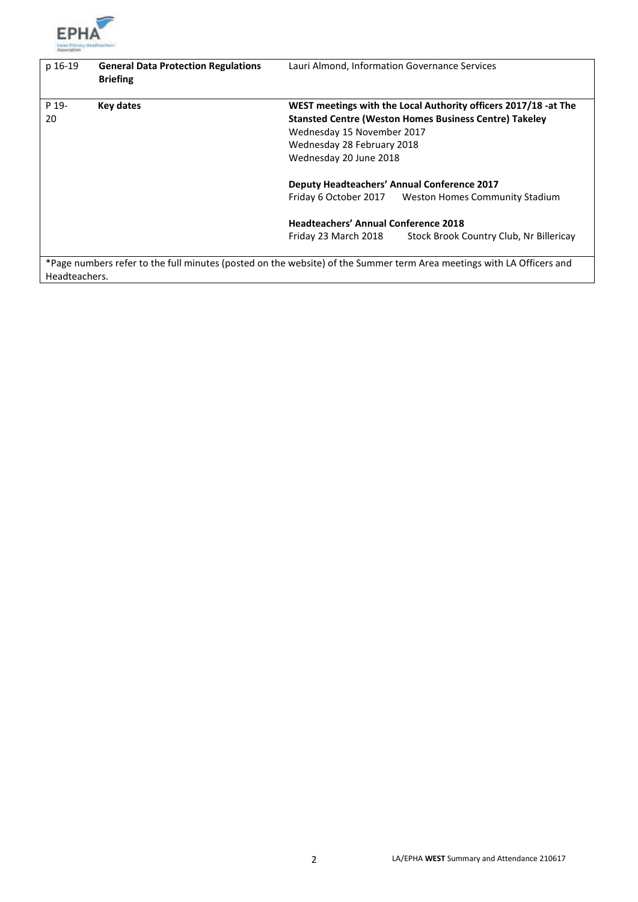

| p 16-19       | <b>General Data Protection Regulations</b><br><b>Briefing</b>                                                         | Lauri Almond, Information Governance Services |                                                                 |
|---------------|-----------------------------------------------------------------------------------------------------------------------|-----------------------------------------------|-----------------------------------------------------------------|
| P 19-         | Key dates                                                                                                             |                                               | WEST meetings with the Local Authority officers 2017/18 -at The |
| 20            |                                                                                                                       |                                               | <b>Stansted Centre (Weston Homes Business Centre) Takeley</b>   |
|               |                                                                                                                       | Wednesday 15 November 2017                    |                                                                 |
|               |                                                                                                                       | Wednesday 28 February 2018                    |                                                                 |
|               |                                                                                                                       | Wednesday 20 June 2018                        |                                                                 |
|               |                                                                                                                       |                                               | <b>Deputy Headteachers' Annual Conference 2017</b>              |
|               |                                                                                                                       |                                               | Friday 6 October 2017 Weston Homes Community Stadium            |
|               |                                                                                                                       | <b>Headteachers' Annual Conference 2018</b>   |                                                                 |
|               |                                                                                                                       | Friday 23 March 2018                          | Stock Brook Country Club, Nr Billericay                         |
| Headteachers. | *Page numbers refer to the full minutes (posted on the website) of the Summer term Area meetings with LA Officers and |                                               |                                                                 |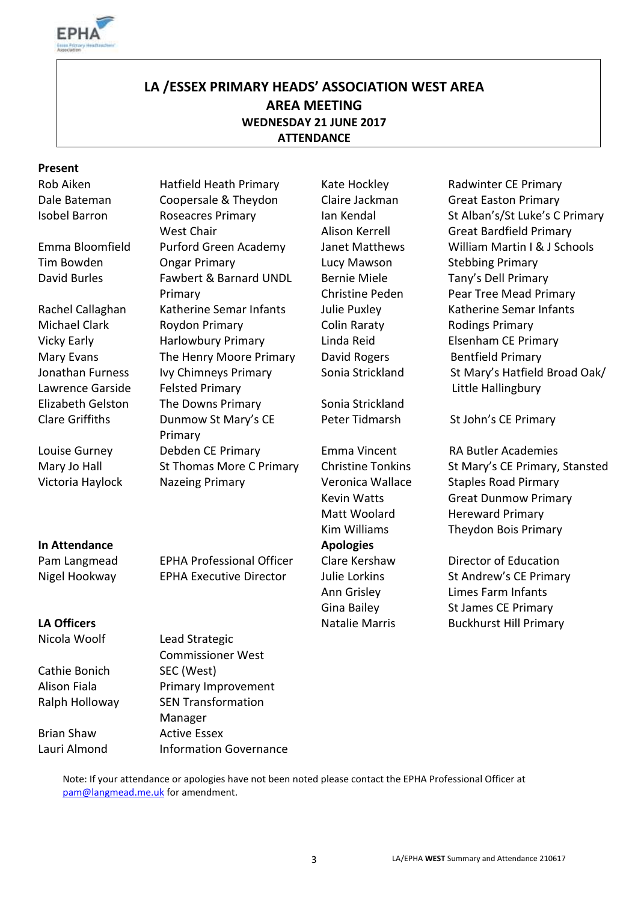

## **LA /ESSEX PRIMARY HEADS' ASSOCIATION WEST AREA AREA MEETING WEDNESDAY 21 JUNE 2017 ATTENDANCE**

#### **Present**

Jonathan Furness Lawrence Garside

### **In Attendance Apologies**

Nicola Woolf Lead Strategic

Cathie Bonich SEC (West)

Dale Bateman Coopersale & Theydon Claire Jackman Great Easton Primary Isobel Barron Roseacres Primary West Chair Tim Bowden **Company Company** Cucy Mawson Stebbing Primary David Burles Fawbert & Barnard UNDL Primary Rachel Callaghan Katherine Semar Infants Julie Puxley Katherine Semar Infants Michael Clark **Roydon Primary Colin Raraty** Rodings Primary Vicky Early **Harlowbury Primary Linda Reid** Elsenham CE Primary Mary Evans The Henry Moore Primary David Rogers Bentfield Primary Ivy Chimneys Primary Felsted Primary Elizabeth Gelston The Downs Primary Sonia Strickland Clare Griffiths Dunmow St Mary's CE Primary Louise Gurney Debden CE Primary Emma Vincent RA Butler Academies

Ian Kendal Alison Kerrell Bernie Miele Christine Peden

Rob Aiken **Hatfield Heath Primary** Kate Hockley **Radwinter CE Primary** St Alban's/St Luke's C Primary Great Bardfield Primary Emma Bloomfield Purford Green Academy Janet Matthews William Martin I & J Schools Tany's Dell Primary Pear Tree Mead Primary Sonia Strickland St Mary's Hatfield Broad Oak/ Little Hallingbury

Peter Tidmarsh St John's CE Primary

Mary Jo Hall St Thomas More C Primary Christine Tonkins St Mary's CE Primary, Stansted Victoria Haylock Nazeing Primary Veronica Wallace Staples Road Pirmary Kevin Watts Great Dunmow Primary Matt Woolard **Hereward Primary** Kim Williams Theydon Bois Primary

Pam Langmead EPHA Professional Officer Clare Kershaw Director of Education Nigel Hookway **EPHA Executive Director** Julie Lorkins St Andrew's CE Primary Ann Grisley Limes Farm Infants Gina Bailey St James CE Primary **LA Officers CALCE ACCES LA Officers Natalie Marris Buckhurst Hill Primary** 

Alison Fiala Primary Improvement Ralph Holloway SEN Transformation Manager Brian Shaw Active Essex Lauri Almond Information Governance

Commissioner West

Note: If your attendance or apologies have not been noted please contact the EPHA Professional Officer at [pam@langmead.me.uk](mailto:pam@langmead.me.uk) for amendment.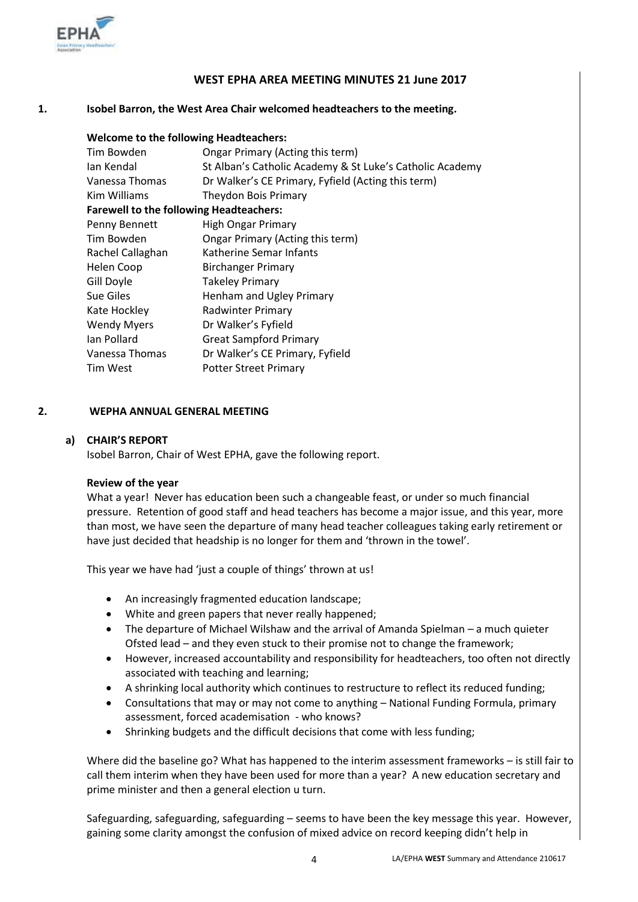

#### **WEST EPHA AREA MEETING MINUTES 21 June 2017**

#### **1. Isobel Barron, the West Area Chair welcomed headteachers to the meeting.**

| <b>Welcome to the following Headteachers:</b>            |
|----------------------------------------------------------|
| Ongar Primary (Acting this term)                         |
| St Alban's Catholic Academy & St Luke's Catholic Academy |
| Dr Walker's CE Primary, Fyfield (Acting this term)       |
| Theydon Bois Primary                                     |
| <b>Farewell to the following Headteachers:</b>           |
| <b>High Ongar Primary</b>                                |
| Ongar Primary (Acting this term)                         |
| Katherine Semar Infants                                  |
| <b>Birchanger Primary</b>                                |
| <b>Takeley Primary</b>                                   |
| Henham and Ugley Primary                                 |
| <b>Radwinter Primary</b>                                 |
| Dr Walker's Fyfield                                      |
| <b>Great Sampford Primary</b>                            |
| Dr Walker's CE Primary, Fyfield                          |
| <b>Potter Street Primary</b>                             |
|                                                          |

#### **2. WEPHA ANNUAL GENERAL MEETING**

#### **a) CHAIR'S REPORT**

Isobel Barron, Chair of West EPHA, gave the following report.

#### **Review of the year**

What a year! Never has education been such a changeable feast, or under so much financial pressure. Retention of good staff and head teachers has become a major issue, and this year, more than most, we have seen the departure of many head teacher colleagues taking early retirement or have just decided that headship is no longer for them and 'thrown in the towel'.

This year we have had 'just a couple of things' thrown at us!

- An increasingly fragmented education landscape;
- White and green papers that never really happened;
- The departure of Michael Wilshaw and the arrival of Amanda Spielman a much quieter Ofsted lead – and they even stuck to their promise not to change the framework;
- However, increased accountability and responsibility for headteachers, too often not directly associated with teaching and learning;
- A shrinking local authority which continues to restructure to reflect its reduced funding;
- Consultations that may or may not come to anything National Funding Formula, primary assessment, forced academisation - who knows?
- Shrinking budgets and the difficult decisions that come with less funding;

Where did the baseline go? What has happened to the interim assessment frameworks – is still fair to call them interim when they have been used for more than a year? A new education secretary and prime minister and then a general election u turn.

Safeguarding, safeguarding, safeguarding – seems to have been the key message this year. However, gaining some clarity amongst the confusion of mixed advice on record keeping didn't help in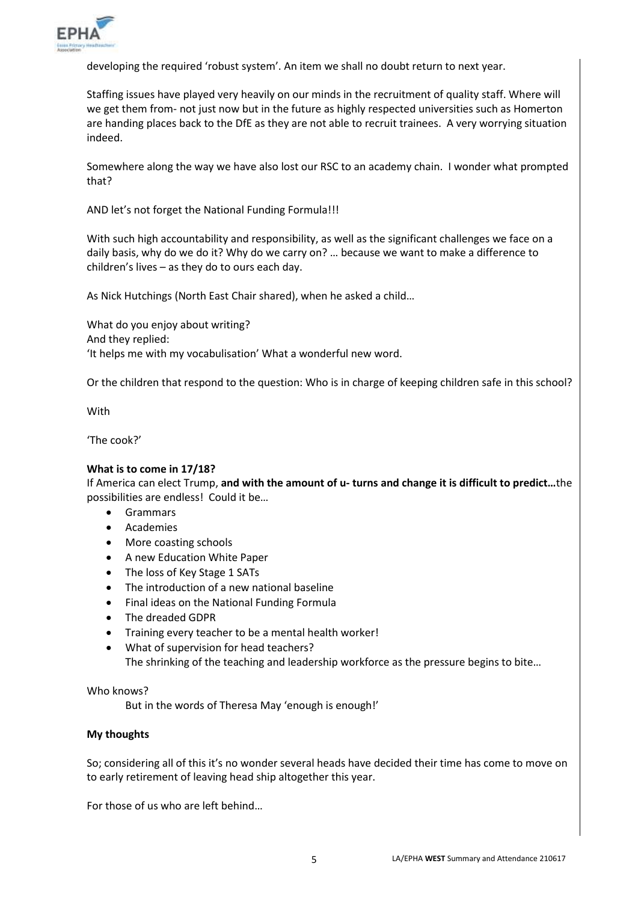

developing the required 'robust system'. An item we shall no doubt return to next year.

Staffing issues have played very heavily on our minds in the recruitment of quality staff. Where will we get them from- not just now but in the future as highly respected universities such as Homerton are handing places back to the DfE as they are not able to recruit trainees. A very worrying situation indeed.

Somewhere along the way we have also lost our RSC to an academy chain. I wonder what prompted that?

AND let's not forget the National Funding Formula!!!

With such high accountability and responsibility, as well as the significant challenges we face on a daily basis, why do we do it? Why do we carry on? … because we want to make a difference to children's lives – as they do to ours each day.

As Nick Hutchings (North East Chair shared), when he asked a child…

What do you enjoy about writing? And they replied: 'It helps me with my vocabulisation' What a wonderful new word.

Or the children that respond to the question: Who is in charge of keeping children safe in this school?

With

'The cook?'

#### **What is to come in 17/18?**

If America can elect Trump, **and with the amount of u- turns and change it is difficult to predict…**the possibilities are endless! Could it be…

- **•** Grammars
- Academies
- More coasting schools
- A new Education White Paper
- The loss of Key Stage 1 SATs
- The introduction of a new national baseline
- Final ideas on the National Funding Formula
- The dreaded GDPR
- Training every teacher to be a mental health worker!
- What of supervision for head teachers? The shrinking of the teaching and leadership workforce as the pressure begins to bite…

Who knows?

But in the words of Theresa May 'enough is enough!'

#### **My thoughts**

So; considering all of this it's no wonder several heads have decided their time has come to move on to early retirement of leaving head ship altogether this year.

For those of us who are left behind…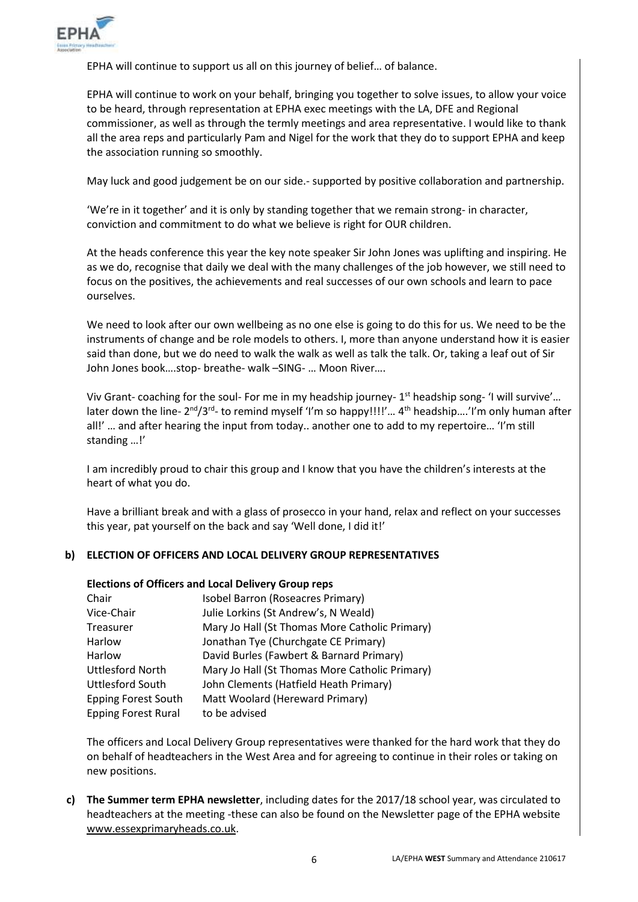

EPHA will continue to support us all on this journey of belief… of balance.

EPHA will continue to work on your behalf, bringing you together to solve issues, to allow your voice to be heard, through representation at EPHA exec meetings with the LA, DFE and Regional commissioner, as well as through the termly meetings and area representative. I would like to thank all the area reps and particularly Pam and Nigel for the work that they do to support EPHA and keep the association running so smoothly.

May luck and good judgement be on our side.- supported by positive collaboration and partnership.

'We're in it together' and it is only by standing together that we remain strong- in character, conviction and commitment to do what we believe is right for OUR children.

At the heads conference this year the key note speaker Sir John Jones was uplifting and inspiring. He as we do, recognise that daily we deal with the many challenges of the job however, we still need to focus on the positives, the achievements and real successes of our own schools and learn to pace ourselves.

We need to look after our own wellbeing as no one else is going to do this for us. We need to be the instruments of change and be role models to others. I, more than anyone understand how it is easier said than done, but we do need to walk the walk as well as talk the talk. Or, taking a leaf out of Sir John Jones book….stop- breathe- walk –SING- … Moon River….

Viv Grant- coaching for the soul- For me in my headship journey- 1<sup>st</sup> headship song- 'I will survive'... later down the line- 2<sup>nd</sup>/3<sup>rd</sup>- to remind myself 'I'm so happy!!!!'... 4<sup>th</sup> headship....'I'm only human after all!' … and after hearing the input from today.. another one to add to my repertoire… 'I'm still standing …!'

I am incredibly proud to chair this group and I know that you have the children's interests at the heart of what you do.

Have a brilliant break and with a glass of prosecco in your hand, relax and reflect on your successes this year, pat yourself on the back and say 'Well done, I did it!'

#### **b) ELECTION OF OFFICERS AND LOCAL DELIVERY GROUP REPRESENTATIVES**

#### **Elections of Officers and Local Delivery Group reps**

| Chair                      | Isobel Barron (Roseacres Primary)              |
|----------------------------|------------------------------------------------|
| Vice-Chair                 | Julie Lorkins (St Andrew's, N Weald)           |
| <b>Treasurer</b>           | Mary Jo Hall (St Thomas More Catholic Primary) |
| Harlow                     | Jonathan Tye (Churchgate CE Primary)           |
| Harlow                     | David Burles (Fawbert & Barnard Primary)       |
| <b>Uttlesford North</b>    | Mary Jo Hall (St Thomas More Catholic Primary) |
| Uttlesford South           | John Clements (Hatfield Heath Primary)         |
| <b>Epping Forest South</b> | Matt Woolard (Hereward Primary)                |
| <b>Epping Forest Rural</b> | to be advised                                  |

The officers and Local Delivery Group representatives were thanked for the hard work that they do on behalf of headteachers in the West Area and for agreeing to continue in their roles or taking on new positions.

**c) The Summer term EPHA newsletter**, including dates for the 2017/18 school year, was circulated to headteachers at the meeting -these can also be found on the Newsletter page of the EPHA website [www.essexprimaryheads.co.uk.](http://www.essexprimaryheads.co.uk/)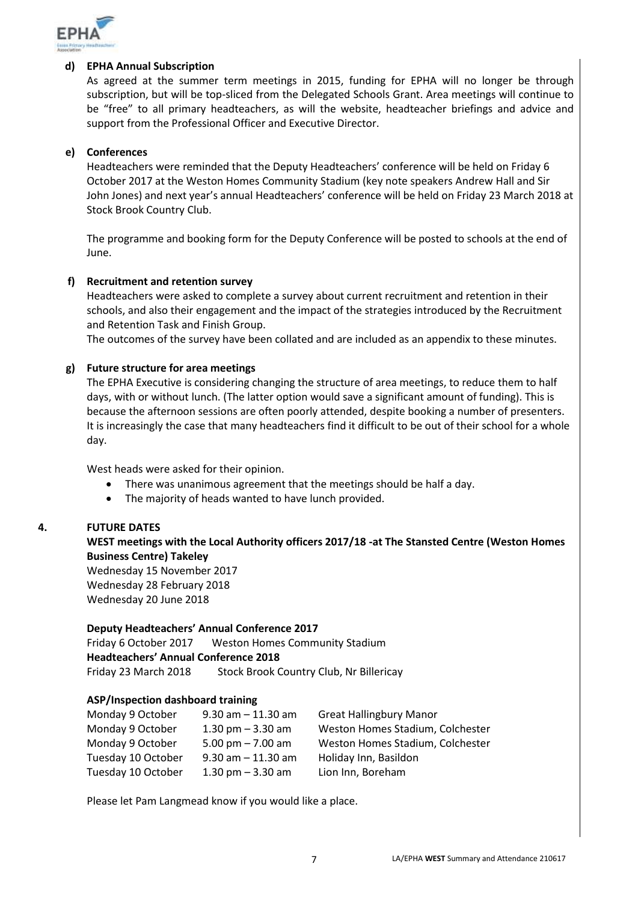

#### **d) EPHA Annual Subscription**

As agreed at the summer term meetings in 2015, funding for EPHA will no longer be through subscription, but will be top-sliced from the Delegated Schools Grant. Area meetings will continue to be "free" to all primary headteachers, as will the website, headteacher briefings and advice and support from the Professional Officer and Executive Director.

#### **e) Conferences**

Headteachers were reminded that the Deputy Headteachers' conference will be held on Friday 6 October 2017 at the Weston Homes Community Stadium (key note speakers Andrew Hall and Sir John Jones) and next year's annual Headteachers' conference will be held on Friday 23 March 2018 at Stock Brook Country Club.

The programme and booking form for the Deputy Conference will be posted to schools at the end of June.

#### **f) Recruitment and retention survey**

Headteachers were asked to complete a survey about current recruitment and retention in their schools, and also their engagement and the impact of the strategies introduced by the Recruitment and Retention Task and Finish Group.

The outcomes of the survey have been collated and are included as an appendix to these minutes.

#### **g) Future structure for area meetings**

The EPHA Executive is considering changing the structure of area meetings, to reduce them to half days, with or without lunch. (The latter option would save a significant amount of funding). This is because the afternoon sessions are often poorly attended, despite booking a number of presenters. It is increasingly the case that many headteachers find it difficult to be out of their school for a whole day.

West heads were asked for their opinion.

- There was unanimous agreement that the meetings should be half a day.
- The majority of heads wanted to have lunch provided.

#### **4. FUTURE DATES**

**WEST meetings with the Local Authority officers 2017/18 -at The Stansted Centre (Weston Homes Business Centre) Takeley** 

Wednesday 15 November 2017 Wednesday 28 February 2018 Wednesday 20 June 2018

#### **Deputy Headteachers' Annual Conference 2017**

Friday 6 October 2017 Weston Homes Community Stadium **Headteachers' Annual Conference 2018** Friday 23 March 2018 Stock Brook Country Club, Nr Billericay

#### **ASP/Inspection dashboard training**

| $9.30$ am $-11.30$ am | <b>Great Hallingbury Manor</b>   |
|-----------------------|----------------------------------|
| 1.30 pm $-$ 3.30 am   | Weston Homes Stadium, Colchester |
| 5.00 pm $- 7.00$ am   | Weston Homes Stadium, Colchester |
| $9.30$ am $-11.30$ am | Holiday Inn, Basildon            |
| 1.30 pm $-$ 3.30 am   | Lion Inn, Boreham                |
|                       |                                  |

Please let Pam Langmead know if you would like a place.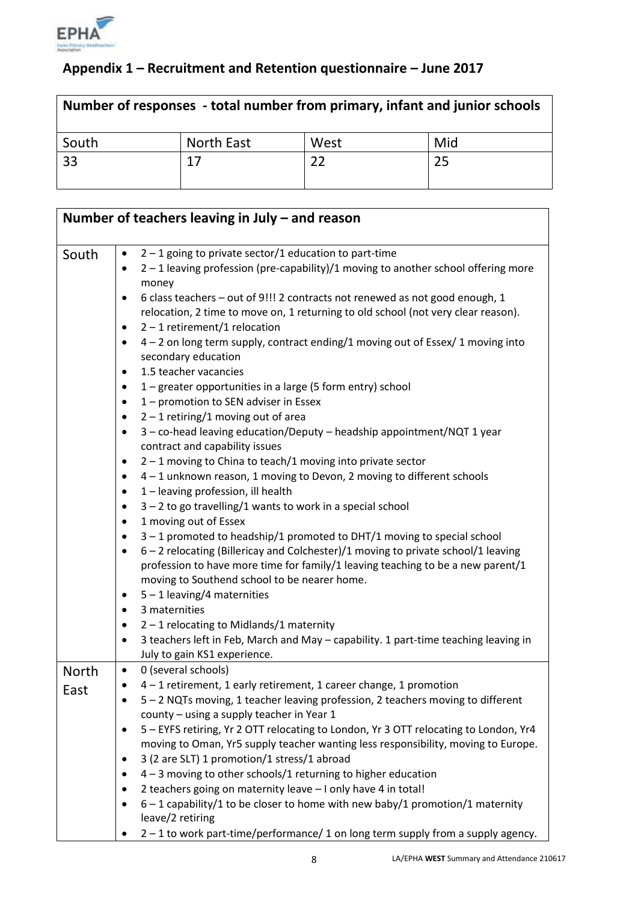

# **Appendix 1 – Recruitment and Retention questionnaire – June 2017**

| Number of responses - total number from primary, infant and junior schools |            |      |     |
|----------------------------------------------------------------------------|------------|------|-----|
| South                                                                      | North East | West | Mid |
| 33                                                                         | 17         |      | 25  |

|              | Number of teachers leaving in July $-$ and reason                                                                                                           |
|--------------|-------------------------------------------------------------------------------------------------------------------------------------------------------------|
| South        | $2 - 1$ going to private sector/1 education to part-time<br>$\bullet$                                                                                       |
|              | 2 - 1 leaving profession (pre-capability)/1 moving to another school offering more<br>money                                                                 |
|              | 6 class teachers - out of 9!!! 2 contracts not renewed as not good enough, 1<br>$\bullet$                                                                   |
|              | relocation, 2 time to move on, 1 returning to old school (not very clear reason).<br>$2 - 1$ retirement/1 relocation                                        |
|              | $\bullet$<br>4 - 2 on long term supply, contract ending/1 moving out of Essex/ 1 moving into<br>$\bullet$                                                   |
|              | secondary education                                                                                                                                         |
|              | 1.5 teacher vacancies<br>٠                                                                                                                                  |
|              | 1 – greater opportunities in a large (5 form entry) school<br>$\bullet$                                                                                     |
|              | 1 – promotion to SEN adviser in Essex<br>٠                                                                                                                  |
|              | $2 - 1$ retiring/1 moving out of area<br>$\bullet$                                                                                                          |
|              | 3 - co-head leaving education/Deputy - headship appointment/NQT 1 year<br>٠<br>contract and capability issues                                               |
|              | $2 - 1$ moving to China to teach/1 moving into private sector<br>٠                                                                                          |
|              | 4 - 1 unknown reason, 1 moving to Devon, 2 moving to different schools<br>٠                                                                                 |
|              | 1 - leaving profession, ill health<br>٠                                                                                                                     |
|              | $3 - 2$ to go travelling/1 wants to work in a special school<br>٠                                                                                           |
|              | 1 moving out of Essex<br>$\bullet$                                                                                                                          |
|              | $3 - 1$ promoted to headship/1 promoted to DHT/1 moving to special school<br>٠                                                                              |
|              | 6 - 2 relocating (Billericay and Colchester)/1 moving to private school/1 leaving<br>$\bullet$                                                              |
|              | profession to have more time for family/1 leaving teaching to be a new parent/1                                                                             |
|              | moving to Southend school to be nearer home.                                                                                                                |
|              | $5 - 1$ leaving/4 maternities<br>$\bullet$                                                                                                                  |
|              | 3 maternities<br>٠                                                                                                                                          |
|              | $2 - 1$ relocating to Midlands/1 maternity<br>$\bullet$<br>3 teachers left in Feb, March and May - capability. 1 part-time teaching leaving in<br>$\bullet$ |
|              | July to gain KS1 experience.                                                                                                                                |
| <b>North</b> | 0 (several schools)<br>$\bullet$                                                                                                                            |
| East         | 4 - 1 retirement, 1 early retirement, 1 career change, 1 promotion<br>٠                                                                                     |
|              | 5 - 2 NQTs moving, 1 teacher leaving profession, 2 teachers moving to different<br>county - using a supply teacher in Year 1                                |
|              | 5 - EYFS retiring, Yr 2 OTT relocating to London, Yr 3 OTT relocating to London, Yr4<br>٠                                                                   |
|              | moving to Oman, Yr5 supply teacher wanting less responsibility, moving to Europe.                                                                           |
|              | 3 (2 are SLT) 1 promotion/1 stress/1 abroad<br>$\bullet$                                                                                                    |
|              | $4 - 3$ moving to other schools/1 returning to higher education<br>٠                                                                                        |
|              | 2 teachers going on maternity leave - I only have 4 in total!                                                                                               |
|              | $6 - 1$ capability/1 to be closer to home with new baby/1 promotion/1 maternity                                                                             |
|              | leave/2 retiring                                                                                                                                            |
|              | 2-1 to work part-time/performance/1 on long term supply from a supply agency.                                                                               |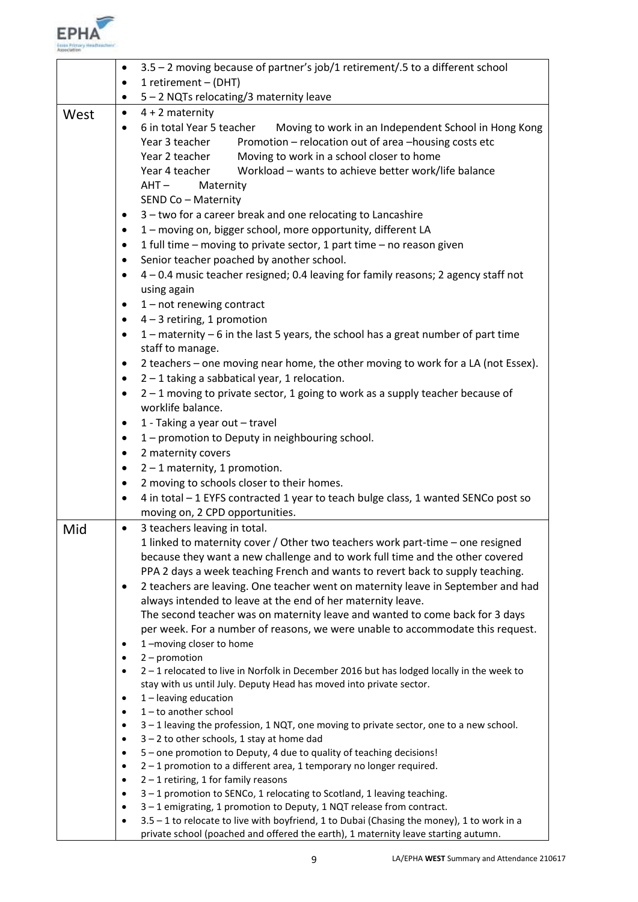

|      | 3.5 - 2 moving because of partner's job/1 retirement/.5 to a different school<br>$\bullet$                                                                                                                                                                                                                                                                                                                        |  |  |
|------|-------------------------------------------------------------------------------------------------------------------------------------------------------------------------------------------------------------------------------------------------------------------------------------------------------------------------------------------------------------------------------------------------------------------|--|--|
|      | 1 retirement - (DHT)                                                                                                                                                                                                                                                                                                                                                                                              |  |  |
|      | 5 - 2 NQTs relocating/3 maternity leave                                                                                                                                                                                                                                                                                                                                                                           |  |  |
| West | $4 + 2$ maternity<br>$\bullet$                                                                                                                                                                                                                                                                                                                                                                                    |  |  |
|      | 6 in total Year 5 teacher<br>Moving to work in an Independent School in Hong Kong<br>$\bullet$<br>Promotion - relocation out of area -housing costs etc<br>Year 3 teacher<br>Moving to work in a school closer to home<br>Year 2 teacher<br>Workload - wants to achieve better work/life balance<br>Year 4 teacher<br>$AHT -$<br>Maternity<br>SEND Co - Maternity                                                 |  |  |
|      | 3 - two for a career break and one relocating to Lancashire<br>$\bullet$                                                                                                                                                                                                                                                                                                                                          |  |  |
|      | 1 - moving on, bigger school, more opportunity, different LA<br>$\bullet$                                                                                                                                                                                                                                                                                                                                         |  |  |
|      | 1 full time - moving to private sector, 1 part time - no reason given<br>$\bullet$                                                                                                                                                                                                                                                                                                                                |  |  |
|      | Senior teacher poached by another school.<br>$\bullet$                                                                                                                                                                                                                                                                                                                                                            |  |  |
|      | 4 - 0.4 music teacher resigned; 0.4 leaving for family reasons; 2 agency staff not<br>$\bullet$<br>using again                                                                                                                                                                                                                                                                                                    |  |  |
|      | $1$ – not renewing contract<br>$\bullet$                                                                                                                                                                                                                                                                                                                                                                          |  |  |
|      | $4 - 3$ retiring, 1 promotion<br>$\bullet$                                                                                                                                                                                                                                                                                                                                                                        |  |  |
|      | 1 - maternity - 6 in the last 5 years, the school has a great number of part time<br>$\bullet$<br>staff to manage.                                                                                                                                                                                                                                                                                                |  |  |
|      | 2 teachers - one moving near home, the other moving to work for a LA (not Essex).<br>$\bullet$                                                                                                                                                                                                                                                                                                                    |  |  |
|      | $2 - 1$ taking a sabbatical year, 1 relocation.<br>$\bullet$                                                                                                                                                                                                                                                                                                                                                      |  |  |
|      | 2 - 1 moving to private sector, 1 going to work as a supply teacher because of<br>$\bullet$<br>worklife balance.                                                                                                                                                                                                                                                                                                  |  |  |
|      | 1 - Taking a year out - travel<br>$\bullet$                                                                                                                                                                                                                                                                                                                                                                       |  |  |
|      | 1 - promotion to Deputy in neighbouring school.<br>$\bullet$                                                                                                                                                                                                                                                                                                                                                      |  |  |
|      | 2 maternity covers<br>$\bullet$                                                                                                                                                                                                                                                                                                                                                                                   |  |  |
|      | $2 - 1$ maternity, 1 promotion.<br>$\bullet$                                                                                                                                                                                                                                                                                                                                                                      |  |  |
|      | 2 moving to schools closer to their homes.<br>$\bullet$                                                                                                                                                                                                                                                                                                                                                           |  |  |
|      | 4 in total - 1 EYFS contracted 1 year to teach bulge class, 1 wanted SENCo post so<br>٠                                                                                                                                                                                                                                                                                                                           |  |  |
|      | moving on, 2 CPD opportunities.                                                                                                                                                                                                                                                                                                                                                                                   |  |  |
| Mid  | 3 teachers leaving in total.<br>$\bullet$                                                                                                                                                                                                                                                                                                                                                                         |  |  |
|      | 1 linked to maternity cover / Other two teachers work part-time – one resigned<br>because they want a new challenge and to work full time and the other covered<br>PPA 2 days a week teaching French and wants to revert back to supply teaching.<br>2 teachers are leaving. One teacher went on maternity leave in September and had<br>$\bullet$<br>always intended to leave at the end of her maternity leave. |  |  |
|      | The second teacher was on maternity leave and wanted to come back for 3 days<br>per week. For a number of reasons, we were unable to accommodate this request.                                                                                                                                                                                                                                                    |  |  |
|      | 1-moving closer to home<br>$\bullet$                                                                                                                                                                                                                                                                                                                                                                              |  |  |
|      | $2$ – promotion<br>$\bullet$                                                                                                                                                                                                                                                                                                                                                                                      |  |  |
|      | 2-1 relocated to live in Norfolk in December 2016 but has lodged locally in the week to<br>$\bullet$<br>stay with us until July. Deputy Head has moved into private sector.                                                                                                                                                                                                                                       |  |  |
|      | $1$ – leaving education<br>$\bullet$<br>$1$ – to another school                                                                                                                                                                                                                                                                                                                                                   |  |  |
|      | $\bullet$<br>3-1 leaving the profession, 1 NQT, one moving to private sector, one to a new school.<br>$\bullet$                                                                                                                                                                                                                                                                                                   |  |  |
|      | $3 - 2$ to other schools, 1 stay at home dad<br>$\bullet$                                                                                                                                                                                                                                                                                                                                                         |  |  |
|      | 5 - one promotion to Deputy, 4 due to quality of teaching decisions!<br>$\bullet$                                                                                                                                                                                                                                                                                                                                 |  |  |
|      | 2 - 1 promotion to a different area, 1 temporary no longer required.<br>$\bullet$                                                                                                                                                                                                                                                                                                                                 |  |  |
|      | $2 - 1$ retiring, 1 for family reasons<br>$\bullet$                                                                                                                                                                                                                                                                                                                                                               |  |  |
|      | 3-1 promotion to SENCo, 1 relocating to Scotland, 1 leaving teaching.<br>$\bullet$                                                                                                                                                                                                                                                                                                                                |  |  |
|      | 3 - 1 emigrating, 1 promotion to Deputy, 1 NQT release from contract.<br>$\bullet$                                                                                                                                                                                                                                                                                                                                |  |  |
|      | 3.5 - 1 to relocate to live with boyfriend, 1 to Dubai (Chasing the money), 1 to work in a<br>$\bullet$<br>private school (poached and offered the earth), 1 maternity leave starting autumn.                                                                                                                                                                                                                     |  |  |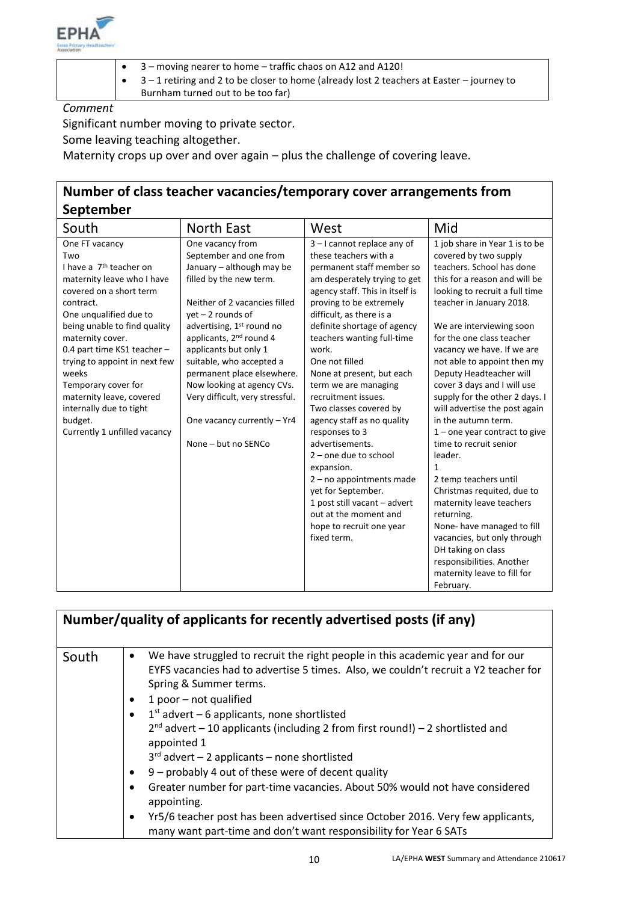

- 3 moving nearer to home traffic chaos on A12 and A120!
- 3 1 retiring and 2 to be closer to home (already lost 2 teachers at Easter journey to

Burnham turned out to be too far)

*Comment*

Significant number moving to private sector.

Some leaving teaching altogether.

Maternity crops up over and over again – plus the challenge of covering leave.

## **Number of class teacher vacancies/temporary cover arrangements from September**

| <b>schreinnei</b>                   |                                       |                                 |                                 |
|-------------------------------------|---------------------------------------|---------------------------------|---------------------------------|
| South                               | <b>North East</b>                     | West                            | Mid                             |
| One FT vacancy                      | One vacancy from                      | 3-I cannot replace any of       | 1 job share in Year 1 is to be  |
| Two                                 | September and one from                | these teachers with a           | covered by two supply           |
| I have a 7 <sup>th</sup> teacher on | January - although may be             | permanent staff member so       | teachers. School has done       |
| maternity leave who I have          | filled by the new term.               | am desperately trying to get    | this for a reason and will be   |
| covered on a short term             |                                       | agency staff. This in itself is | looking to recruit a full time  |
| contract.                           | Neither of 2 vacancies filled         | proving to be extremely         | teacher in January 2018.        |
| One unqualified due to              | yet - 2 rounds of                     | difficult, as there is a        |                                 |
| being unable to find quality        | advertising, 1 <sup>st</sup> round no | definite shortage of agency     | We are interviewing soon        |
| maternity cover.                    | applicants, 2 <sup>nd</sup> round 4   | teachers wanting full-time      | for the one class teacher       |
| 0.4 part time KS1 teacher -         | applicants but only 1                 | work.                           | vacancy we have. If we are      |
| trying to appoint in next few       | suitable, who accepted a              | One not filled                  | not able to appoint then my     |
| weeks                               | permanent place elsewhere.            | None at present, but each       | Deputy Headteacher will         |
| Temporary cover for                 | Now looking at agency CVs.            | term we are managing            | cover 3 days and I will use     |
| maternity leave, covered            | Very difficult, very stressful.       | recruitment issues.             | supply for the other 2 days. I  |
| internally due to tight             |                                       | Two classes covered by          | will advertise the post again   |
| budget.                             | One vacancy currently - Yr4           | agency staff as no quality      | in the autumn term.             |
| Currently 1 unfilled vacancy        |                                       | responses to 3                  | $1$ – one year contract to give |
|                                     | None - but no SENCo                   | advertisements.                 | time to recruit senior          |
|                                     |                                       | $2$ – one due to school         | leader.                         |
|                                     |                                       | expansion.                      | $\mathbf{1}$                    |
|                                     |                                       | $2 - no$ appointments made      | 2 temp teachers until           |
|                                     |                                       | yet for September.              | Christmas requited, due to      |
|                                     |                                       | 1 post still vacant - advert    | maternity leave teachers        |
|                                     |                                       | out at the moment and           | returning.                      |
|                                     |                                       | hope to recruit one year        | None- have managed to fill      |
|                                     |                                       | fixed term.                     | vacancies, but only through     |
|                                     |                                       |                                 | DH taking on class              |
|                                     |                                       |                                 | responsibilities. Another       |
|                                     |                                       |                                 | maternity leave to fill for     |
|                                     |                                       |                                 | February.                       |

|       | Number/quality of applicants for recently advertised posts (if any)                                                                                                                                                                                                                                                                                                                                                                                                                                                                                                                                                                                                                                                                                                                                                     |
|-------|-------------------------------------------------------------------------------------------------------------------------------------------------------------------------------------------------------------------------------------------------------------------------------------------------------------------------------------------------------------------------------------------------------------------------------------------------------------------------------------------------------------------------------------------------------------------------------------------------------------------------------------------------------------------------------------------------------------------------------------------------------------------------------------------------------------------------|
| South | We have struggled to recruit the right people in this academic year and for our<br>$\bullet$<br>EYFS vacancies had to advertise 5 times. Also, we couldn't recruit a Y2 teacher for<br>Spring & Summer terms.<br>1 poor $-$ not qualified<br>٠<br>$1st$ advert – 6 applicants, none shortlisted<br>$\bullet$<br>$2^{nd}$ advert – 10 applicants (including 2 from first round!) – 2 shortlisted and<br>appointed 1<br>$3rd$ advert - 2 applicants - none shortlisted<br>9 - probably 4 out of these were of decent quality<br>$\bullet$<br>Greater number for part-time vacancies. About 50% would not have considered<br>$\bullet$<br>appointing.<br>Yr5/6 teacher post has been advertised since October 2016. Very few applicants,<br>$\bullet$<br>many want part-time and don't want responsibility for Year 6 SATs |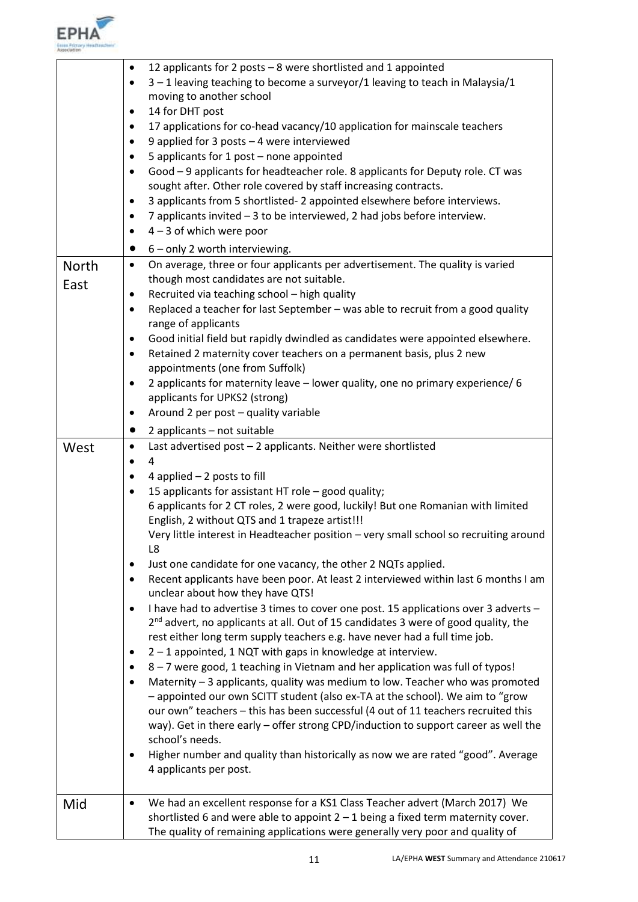

| <b>North</b><br>East | 12 applicants for 2 posts $-8$ were shortlisted and 1 appointed<br>$\bullet$<br>$3 - 1$ leaving teaching to become a surveyor/1 leaving to teach in Malaysia/1<br>٠<br>moving to another school<br>14 for DHT post<br>٠<br>17 applications for co-head vacancy/10 application for mainscale teachers<br>٠<br>9 applied for 3 posts - 4 were interviewed<br>٠<br>5 applicants for 1 post - none appointed<br>٠<br>Good - 9 applicants for headteacher role. 8 applicants for Deputy role. CT was<br>$\bullet$<br>sought after. Other role covered by staff increasing contracts.<br>3 applicants from 5 shortlisted-2 appointed elsewhere before interviews.<br>٠<br>7 applicants invited - 3 to be interviewed, 2 had jobs before interview.<br>٠<br>$4 - 3$ of which were poor<br>٠<br>6 - only 2 worth interviewing.<br>$\bullet$<br>On average, three or four applicants per advertisement. The quality is varied<br>$\bullet$<br>though most candidates are not suitable.<br>Recruited via teaching school - high quality<br>Replaced a teacher for last September - was able to recruit from a good quality<br>٠<br>range of applicants<br>Good initial field but rapidly dwindled as candidates were appointed elsewhere.<br>٠<br>Retained 2 maternity cover teachers on a permanent basis, plus 2 new<br>٠<br>appointments (one from Suffolk)<br>2 applicants for maternity leave - lower quality, one no primary experience/ 6<br>٠<br>applicants for UPKS2 (strong)<br>Around 2 per post - quality variable<br>٠<br>2 applicants - not suitable<br>$\bullet$ |
|----------------------|-----------------------------------------------------------------------------------------------------------------------------------------------------------------------------------------------------------------------------------------------------------------------------------------------------------------------------------------------------------------------------------------------------------------------------------------------------------------------------------------------------------------------------------------------------------------------------------------------------------------------------------------------------------------------------------------------------------------------------------------------------------------------------------------------------------------------------------------------------------------------------------------------------------------------------------------------------------------------------------------------------------------------------------------------------------------------------------------------------------------------------------------------------------------------------------------------------------------------------------------------------------------------------------------------------------------------------------------------------------------------------------------------------------------------------------------------------------------------------------------------------------------------------------------------------------------------|
| West                 | Last advertised post - 2 applicants. Neither were shortlisted<br>$\bullet$                                                                                                                                                                                                                                                                                                                                                                                                                                                                                                                                                                                                                                                                                                                                                                                                                                                                                                                                                                                                                                                                                                                                                                                                                                                                                                                                                                                                                                                                                            |
|                      | 4<br>$\bullet$<br>4 applied $-2$ posts to fill<br>٠<br>15 applicants for assistant HT role - good quality;<br>٠<br>6 applicants for 2 CT roles, 2 were good, luckily! But one Romanian with limited<br>English, 2 without QTS and 1 trapeze artist!!!<br>Very little interest in Headteacher position - very small school so recruiting around<br>L8<br>Just one candidate for one vacancy, the other 2 NQTs applied.<br>٠<br>Recent applicants have been poor. At least 2 interviewed within last 6 months I am<br>$\bullet$<br>unclear about how they have QTS!<br>I have had to advertise 3 times to cover one post. 15 applications over 3 adverts -<br>$\bullet$<br>2 <sup>nd</sup> advert, no applicants at all. Out of 15 candidates 3 were of good quality, the<br>rest either long term supply teachers e.g. have never had a full time job.<br>2 - 1 appointed, 1 NQT with gaps in knowledge at interview.<br>٠<br>8-7 were good, 1 teaching in Vietnam and her application was full of typos!<br>٠<br>Maternity - 3 applicants, quality was medium to low. Teacher who was promoted<br>$\bullet$<br>- appointed our own SCITT student (also ex-TA at the school). We aim to "grow<br>our own" teachers - this has been successful (4 out of 11 teachers recruited this<br>way). Get in there early - offer strong CPD/induction to support career as well the<br>school's needs.<br>Higher number and quality than historically as now we are rated "good". Average<br>٠<br>4 applicants per post.                                                         |
| Mid                  | We had an excellent response for a KS1 Class Teacher advert (March 2017) We<br>٠<br>shortlisted 6 and were able to appoint $2 - 1$ being a fixed term maternity cover.<br>The quality of remaining applications were generally very poor and quality of                                                                                                                                                                                                                                                                                                                                                                                                                                                                                                                                                                                                                                                                                                                                                                                                                                                                                                                                                                                                                                                                                                                                                                                                                                                                                                               |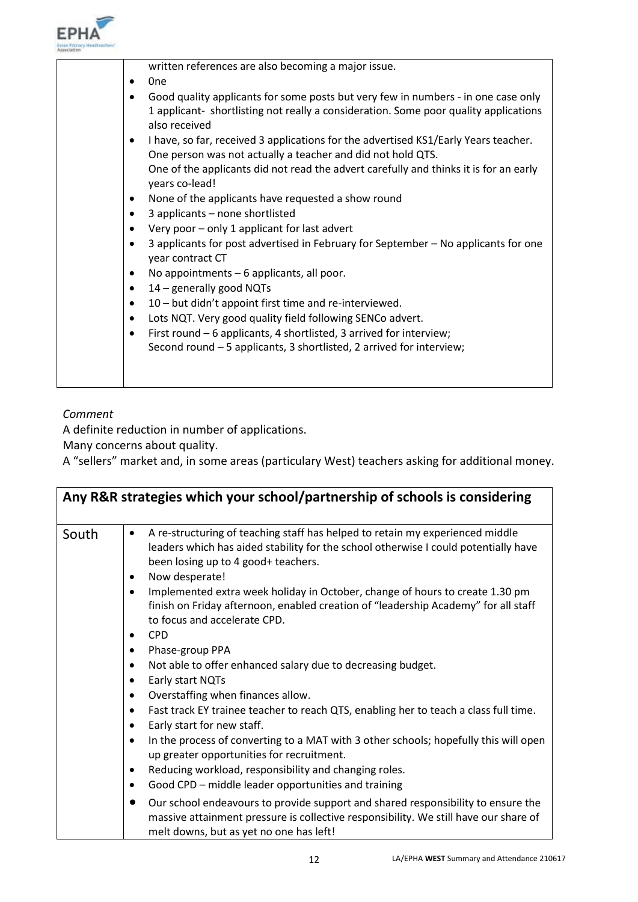

| written references are also becoming a major issue.                                                                                                |
|----------------------------------------------------------------------------------------------------------------------------------------------------|
| 0 <sub>ne</sub>                                                                                                                                    |
| Good quality applicants for some posts but very few in numbers - in one case only                                                                  |
| 1 applicant- shortlisting not really a consideration. Some poor quality applications<br>also received                                              |
| I have, so far, received 3 applications for the advertised KS1/Early Years teacher.<br>One person was not actually a teacher and did not hold QTS. |
|                                                                                                                                                    |
| One of the applicants did not read the advert carefully and thinks it is for an early<br>years co-lead!                                            |
| None of the applicants have requested a show round<br>٠                                                                                            |
| 3 applicants - none shortlisted                                                                                                                    |
| Very poor - only 1 applicant for last advert                                                                                                       |
| 3 applicants for post advertised in February for September - No applicants for one<br>year contract CT                                             |
| No appointments - 6 applicants, all poor.                                                                                                          |
| 14 - generally good NQTs<br>٠                                                                                                                      |
| 10 - but didn't appoint first time and re-interviewed.<br>٠                                                                                        |
| Lots NQT. Very good quality field following SENCo advert.<br>٠                                                                                     |
| First round - 6 applicants, 4 shortlisted, 3 arrived for interview;<br>٠                                                                           |
| Second round - 5 applicants, 3 shortlisted, 2 arrived for interview;                                                                               |
|                                                                                                                                                    |
|                                                                                                                                                    |

### *Comment*

A definite reduction in number of applications.

Many concerns about quality.

A "sellers" market and, in some areas (particulary West) teachers asking for additional money.

| Any R&R strategies which your school/partnership of schools is considering |                                                                                                                                                                                                                                                                                                                                                                             |  |
|----------------------------------------------------------------------------|-----------------------------------------------------------------------------------------------------------------------------------------------------------------------------------------------------------------------------------------------------------------------------------------------------------------------------------------------------------------------------|--|
| South                                                                      | A re-structuring of teaching staff has helped to retain my experienced middle<br>$\bullet$<br>leaders which has aided stability for the school otherwise I could potentially have<br>been losing up to 4 good+ teachers.<br>Now desperate!                                                                                                                                  |  |
|                                                                            | Implemented extra week holiday in October, change of hours to create 1.30 pm<br>$\bullet$<br>finish on Friday afternoon, enabled creation of "leadership Academy" for all staff<br>to focus and accelerate CPD.                                                                                                                                                             |  |
|                                                                            | <b>CPD</b><br>٠<br>Phase-group PPA<br>٠                                                                                                                                                                                                                                                                                                                                     |  |
|                                                                            | Not able to offer enhanced salary due to decreasing budget.<br>٠<br>Early start NQTs<br>Overstaffing when finances allow.<br>٠<br>Fast track EY trainee teacher to reach QTS, enabling her to teach a class full time.<br>٠<br>Early start for new staff.<br>$\bullet$<br>In the process of converting to a MAT with 3 other schools; hopefully this will open<br>$\bullet$ |  |
|                                                                            | up greater opportunities for recruitment.<br>Reducing workload, responsibility and changing roles.<br>Good CPD – middle leader opportunities and training<br>٠                                                                                                                                                                                                              |  |
|                                                                            | Our school endeavours to provide support and shared responsibility to ensure the<br>$\bullet$<br>massive attainment pressure is collective responsibility. We still have our share of<br>melt downs, but as yet no one has left!                                                                                                                                            |  |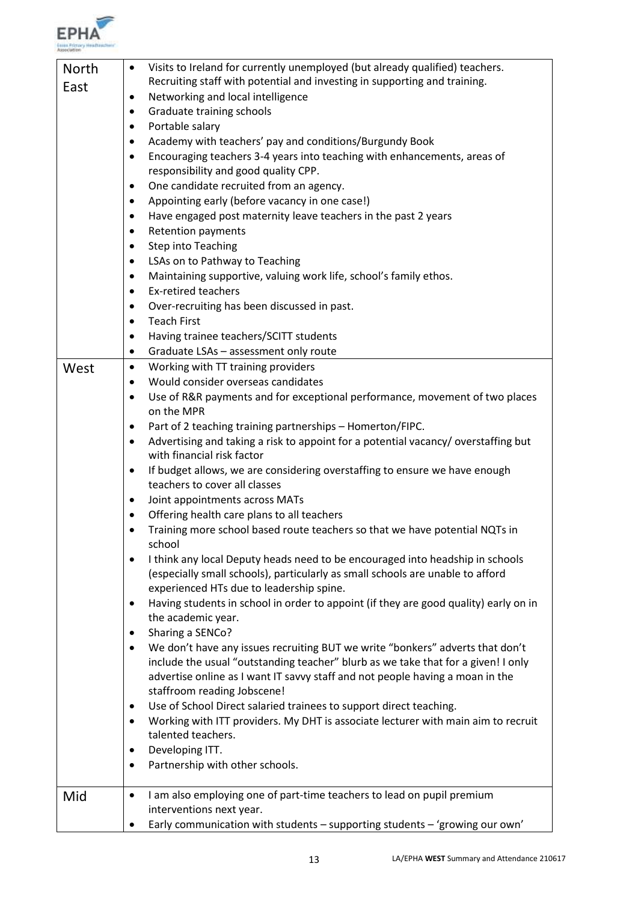

| North | Visits to Ireland for currently unemployed (but already qualified) teachers.<br>٠                                                                                    |  |
|-------|----------------------------------------------------------------------------------------------------------------------------------------------------------------------|--|
| East  | Recruiting staff with potential and investing in supporting and training.                                                                                            |  |
|       | Networking and local intelligence<br>٠                                                                                                                               |  |
|       | Graduate training schools<br>٠                                                                                                                                       |  |
|       | Portable salary<br>٠                                                                                                                                                 |  |
|       | Academy with teachers' pay and conditions/Burgundy Book<br>٠                                                                                                         |  |
|       | Encouraging teachers 3-4 years into teaching with enhancements, areas of<br>٠                                                                                        |  |
|       | responsibility and good quality CPP.                                                                                                                                 |  |
|       | One candidate recruited from an agency.<br>٠                                                                                                                         |  |
|       | Appointing early (before vacancy in one case!)<br>٠                                                                                                                  |  |
|       | Have engaged post maternity leave teachers in the past 2 years<br>٠                                                                                                  |  |
|       | <b>Retention payments</b><br>٠                                                                                                                                       |  |
|       | <b>Step into Teaching</b><br>٠                                                                                                                                       |  |
|       | LSAs on to Pathway to Teaching<br>٠                                                                                                                                  |  |
|       | Maintaining supportive, valuing work life, school's family ethos.<br>٠                                                                                               |  |
|       | <b>Ex-retired teachers</b><br>٠                                                                                                                                      |  |
|       | Over-recruiting has been discussed in past.<br>٠                                                                                                                     |  |
|       | <b>Teach First</b><br>٠                                                                                                                                              |  |
|       | Having trainee teachers/SCITT students<br>٠                                                                                                                          |  |
|       | Graduate LSAs - assessment only route<br>٠                                                                                                                           |  |
| West  | Working with TT training providers<br>$\bullet$                                                                                                                      |  |
|       | Would consider overseas candidates<br>٠                                                                                                                              |  |
|       | Use of R&R payments and for exceptional performance, movement of two places<br>٠                                                                                     |  |
|       | on the MPR                                                                                                                                                           |  |
|       | Part of 2 teaching training partnerships - Homerton/FIPC.<br>٠                                                                                                       |  |
|       | Advertising and taking a risk to appoint for a potential vacancy/overstaffing but<br>٠                                                                               |  |
|       | with financial risk factor                                                                                                                                           |  |
|       | If budget allows, we are considering overstaffing to ensure we have enough<br>٠                                                                                      |  |
|       | teachers to cover all classes                                                                                                                                        |  |
|       | Joint appointments across MATs<br>٠                                                                                                                                  |  |
|       | Offering health care plans to all teachers<br>$\bullet$                                                                                                              |  |
|       | Training more school based route teachers so that we have potential NQTs in                                                                                          |  |
|       | school                                                                                                                                                               |  |
|       | I think any local Deputy heads need to be encouraged into headship in schools<br>٠<br>(especially small schools), particularly as small schools are unable to afford |  |
|       | experienced HTs due to leadership spine.                                                                                                                             |  |
|       | Having students in school in order to appoint (if they are good quality) early on in<br>٠                                                                            |  |
|       | the academic year.                                                                                                                                                   |  |
|       | Sharing a SENCo?<br>٠                                                                                                                                                |  |
|       | We don't have any issues recruiting BUT we write "bonkers" adverts that don't<br>٠                                                                                   |  |
|       | include the usual "outstanding teacher" blurb as we take that for a given! I only                                                                                    |  |
|       | advertise online as I want IT savvy staff and not people having a moan in the                                                                                        |  |
|       | staffroom reading Jobscene!                                                                                                                                          |  |
|       | Use of School Direct salaried trainees to support direct teaching.<br>٠                                                                                              |  |
|       | Working with ITT providers. My DHT is associate lecturer with main aim to recruit<br>٠                                                                               |  |
|       | talented teachers.                                                                                                                                                   |  |
|       | Developing ITT.<br>٠                                                                                                                                                 |  |
|       | Partnership with other schools.<br>٠                                                                                                                                 |  |
|       |                                                                                                                                                                      |  |
| Mid   | I am also employing one of part-time teachers to lead on pupil premium<br>٠                                                                                          |  |
|       | interventions next year.                                                                                                                                             |  |
|       | Early communication with students - supporting students - 'growing our own'<br>٠                                                                                     |  |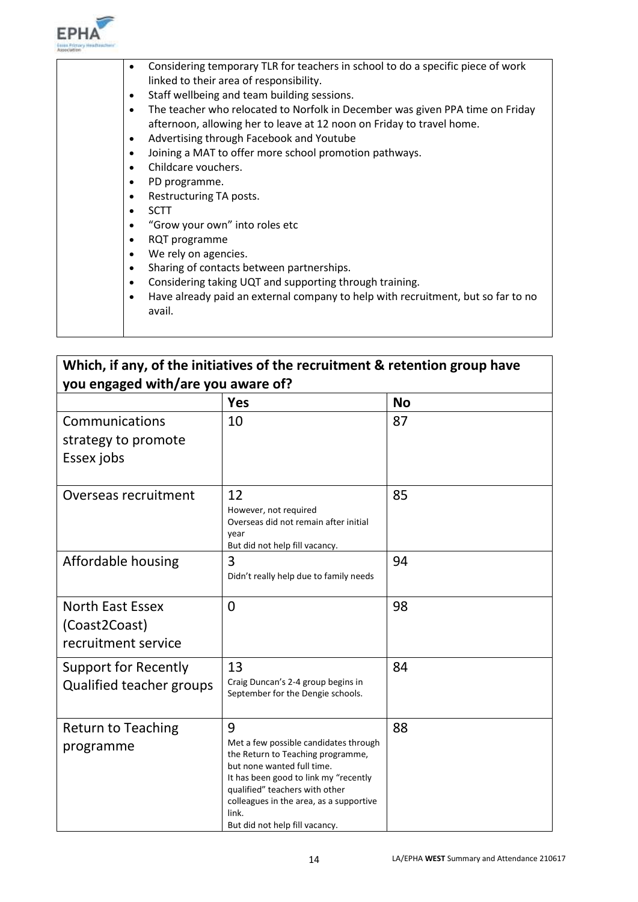

|  | Considering temporary TLR for teachers in school to do a specific piece of work<br>٠<br>linked to their area of responsibility. |
|--|---------------------------------------------------------------------------------------------------------------------------------|
|  |                                                                                                                                 |
|  | Staff wellbeing and team building sessions.<br>$\bullet$                                                                        |
|  | The teacher who relocated to Norfolk in December was given PPA time on Friday<br>$\bullet$                                      |
|  | afternoon, allowing her to leave at 12 noon on Friday to travel home.                                                           |
|  | Advertising through Facebook and Youtube<br>$\bullet$                                                                           |
|  | Joining a MAT to offer more school promotion pathways.<br>$\bullet$                                                             |
|  | Childcare vouchers.<br>$\bullet$                                                                                                |
|  | PD programme.<br>٠                                                                                                              |
|  | Restructuring TA posts.<br>$\bullet$                                                                                            |
|  | <b>SCTT</b><br>$\bullet$                                                                                                        |
|  | "Grow your own" into roles etc<br>$\bullet$                                                                                     |
|  | RQT programme<br>$\bullet$                                                                                                      |
|  | We rely on agencies.<br>$\bullet$                                                                                               |
|  | Sharing of contacts between partnerships.<br>$\bullet$                                                                          |
|  | Considering taking UQT and supporting through training.<br>$\bullet$                                                            |
|  | Have already paid an external company to help with recruitment, but so far to no<br>٠                                           |
|  | avail.                                                                                                                          |
|  |                                                                                                                                 |
|  |                                                                                                                                 |

## **Which, if any, of the initiatives of the recruitment & retention group have you engaged with/are you aware of?**

| -- - - - <del>-</del><br>-0                                     | <b>Yes</b>                                                                                                                                                                                                                                                                     | <b>No</b> |
|-----------------------------------------------------------------|--------------------------------------------------------------------------------------------------------------------------------------------------------------------------------------------------------------------------------------------------------------------------------|-----------|
| Communications<br>strategy to promote<br>Essex jobs             | 10                                                                                                                                                                                                                                                                             | 87        |
| Overseas recruitment                                            | 12<br>However, not required<br>Overseas did not remain after initial<br>vear<br>But did not help fill vacancy.                                                                                                                                                                 | 85        |
| Affordable housing                                              | 3<br>Didn't really help due to family needs                                                                                                                                                                                                                                    | 94        |
| <b>North East Essex</b><br>(Coast2Coast)<br>recruitment service | $\overline{0}$                                                                                                                                                                                                                                                                 | 98        |
| <b>Support for Recently</b><br>Qualified teacher groups         | 13<br>Craig Duncan's 2-4 group begins in<br>September for the Dengie schools.                                                                                                                                                                                                  | 84        |
| <b>Return to Teaching</b><br>programme                          | 9<br>Met a few possible candidates through<br>the Return to Teaching programme,<br>but none wanted full time.<br>It has been good to link my "recently<br>qualified" teachers with other<br>colleagues in the area, as a supportive<br>link.<br>But did not help fill vacancy. | 88        |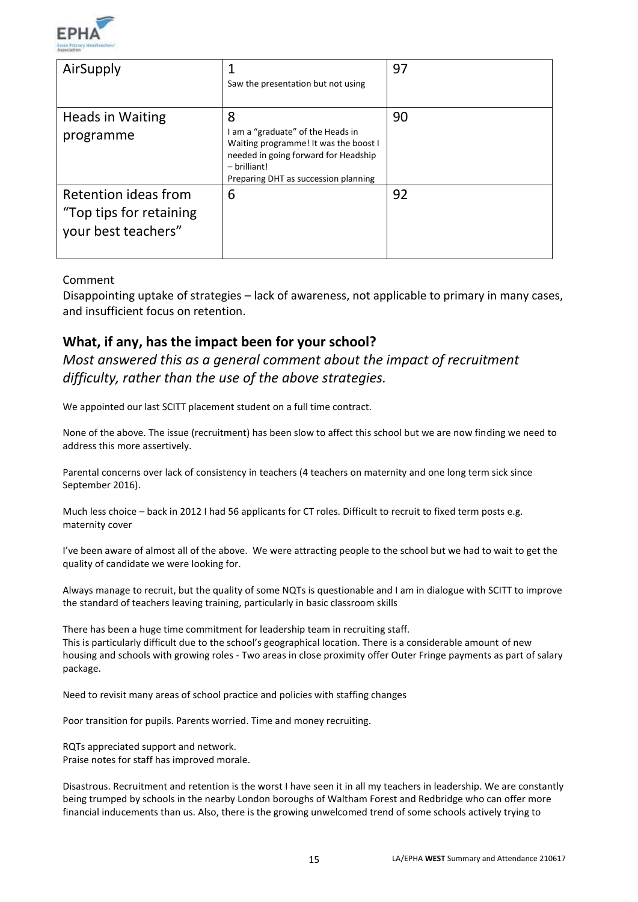

| AirSupply                                                              | Saw the presentation but not using                                                                                                                                                | 97 |
|------------------------------------------------------------------------|-----------------------------------------------------------------------------------------------------------------------------------------------------------------------------------|----|
| Heads in Waiting<br>programme                                          | 8<br>I am a "graduate" of the Heads in<br>Waiting programme! It was the boost I<br>needed in going forward for Headship<br>$-$ brilliant!<br>Preparing DHT as succession planning | 90 |
| Retention ideas from<br>"Top tips for retaining<br>your best teachers" | 6                                                                                                                                                                                 | 92 |

#### Comment

Disappointing uptake of strategies – lack of awareness, not applicable to primary in many cases, and insufficient focus on retention.

## **What, if any, has the impact been for your school?**

*Most answered this as a general comment about the impact of recruitment difficulty, rather than the use of the above strategies.*

We appointed our last SCITT placement student on a full time contract.

None of the above. The issue (recruitment) has been slow to affect this school but we are now finding we need to address this more assertively.

Parental concerns over lack of consistency in teachers (4 teachers on maternity and one long term sick since September 2016).

Much less choice – back in 2012 I had 56 applicants for CT roles. Difficult to recruit to fixed term posts e.g. maternity cover

I've been aware of almost all of the above. We were attracting people to the school but we had to wait to get the quality of candidate we were looking for.

Always manage to recruit, but the quality of some NQTs is questionable and I am in dialogue with SCITT to improve the standard of teachers leaving training, particularly in basic classroom skills

There has been a huge time commitment for leadership team in recruiting staff. This is particularly difficult due to the school's geographical location. There is a considerable amount of new housing and schools with growing roles - Two areas in close proximity offer Outer Fringe payments as part of salary package.

Need to revisit many areas of school practice and policies with staffing changes

Poor transition for pupils. Parents worried. Time and money recruiting.

RQTs appreciated support and network. Praise notes for staff has improved morale.

Disastrous. Recruitment and retention is the worst I have seen it in all my teachers in leadership. We are constantly being trumped by schools in the nearby London boroughs of Waltham Forest and Redbridge who can offer more financial inducements than us. Also, there is the growing unwelcomed trend of some schools actively trying to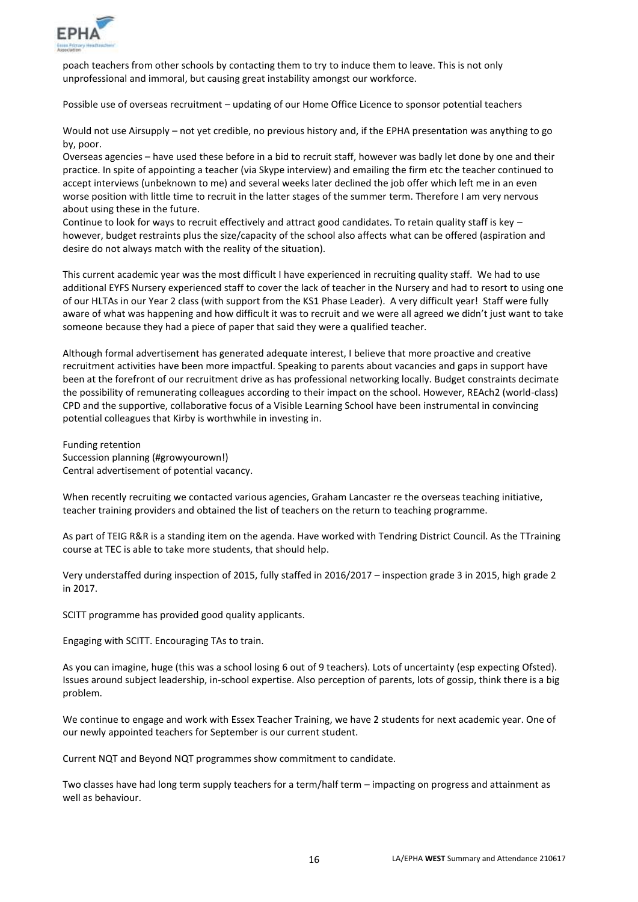

poach teachers from other schools by contacting them to try to induce them to leave. This is not only unprofessional and immoral, but causing great instability amongst our workforce.

Possible use of overseas recruitment – updating of our Home Office Licence to sponsor potential teachers

Would not use Airsupply – not yet credible, no previous history and, if the EPHA presentation was anything to go by, poor.

Overseas agencies – have used these before in a bid to recruit staff, however was badly let done by one and their practice. In spite of appointing a teacher (via Skype interview) and emailing the firm etc the teacher continued to accept interviews (unbeknown to me) and several weeks later declined the job offer which left me in an even worse position with little time to recruit in the latter stages of the summer term. Therefore I am very nervous about using these in the future.

Continue to look for ways to recruit effectively and attract good candidates. To retain quality staff is key – however, budget restraints plus the size/capacity of the school also affects what can be offered (aspiration and desire do not always match with the reality of the situation).

This current academic year was the most difficult I have experienced in recruiting quality staff. We had to use additional EYFS Nursery experienced staff to cover the lack of teacher in the Nursery and had to resort to using one of our HLTAs in our Year 2 class (with support from the KS1 Phase Leader). A very difficult year! Staff were fully aware of what was happening and how difficult it was to recruit and we were all agreed we didn't just want to take someone because they had a piece of paper that said they were a qualified teacher.

Although formal advertisement has generated adequate interest, I believe that more proactive and creative recruitment activities have been more impactful. Speaking to parents about vacancies and gaps in support have been at the forefront of our recruitment drive as has professional networking locally. Budget constraints decimate the possibility of remunerating colleagues according to their impact on the school. However, REAch2 (world-class) CPD and the supportive, collaborative focus of a Visible Learning School have been instrumental in convincing potential colleagues that Kirby is worthwhile in investing in.

Funding retention Succession planning (#growyourown!) Central advertisement of potential vacancy.

When recently recruiting we contacted various agencies, Graham Lancaster re the overseas teaching initiative, teacher training providers and obtained the list of teachers on the return to teaching programme.

As part of TEIG R&R is a standing item on the agenda. Have worked with Tendring District Council. As the TTraining course at TEC is able to take more students, that should help.

Very understaffed during inspection of 2015, fully staffed in 2016/2017 – inspection grade 3 in 2015, high grade 2 in 2017.

SCITT programme has provided good quality applicants.

Engaging with SCITT. Encouraging TAs to train.

As you can imagine, huge (this was a school losing 6 out of 9 teachers). Lots of uncertainty (esp expecting Ofsted). Issues around subject leadership, in-school expertise. Also perception of parents, lots of gossip, think there is a big problem.

We continue to engage and work with Essex Teacher Training, we have 2 students for next academic year. One of our newly appointed teachers for September is our current student.

Current NQT and Beyond NQT programmes show commitment to candidate.

Two classes have had long term supply teachers for a term/half term – impacting on progress and attainment as well as behaviour.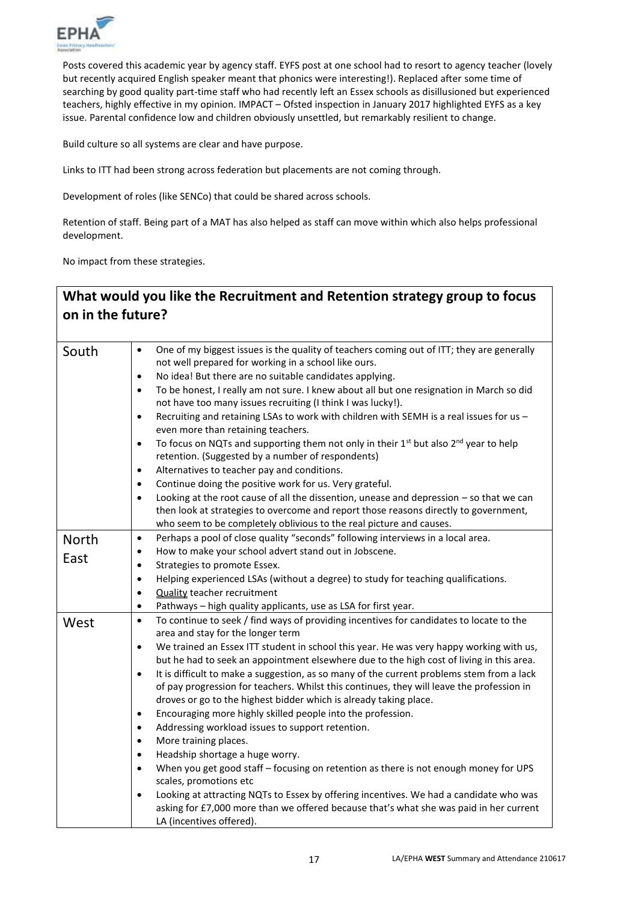

Posts covered this academic year by agency staff. EYFS post at one school had to resort to agency teacher (lovely but recently acquired English speaker meant that phonics were interesting!). Replaced after some time of searching by good quality part-time staff who had recently left an Essex schools as disillusioned but experienced teachers, highly effective in my opinion. IMPACT – Ofsted inspection in January 2017 highlighted EYFS as a key issue. Parental confidence low and children obviously unsettled, but remarkably resilient to change.

Build culture so all systems are clear and have purpose.

Links to ITT had been strong across federation but placements are not coming through.

Development of roles (like SENCo) that could be shared across schools.

Retention of staff. Being part of a MAT has also helped as staff can move within which also helps professional development.

No impact from these strategies.

## **What would you like the Recruitment and Retention strategy group to focus on in the future?**

| South | One of my biggest issues is the quality of teachers coming out of ITT; they are generally<br>$\bullet$<br>not well prepared for working in a school like ours.<br>No idea! But there are no suitable candidates applying.<br>$\bullet$<br>To be honest, I really am not sure. I knew about all but one resignation in March so did<br>$\bullet$<br>not have too many issues recruiting (I think I was lucky!).<br>Recruiting and retaining LSAs to work with children with SEMH is a real issues for us -<br>$\bullet$<br>even more than retaining teachers.<br>To focus on NQTs and supporting them not only in their 1 <sup>st</sup> but also 2 <sup>nd</sup> year to help<br>$\bullet$<br>retention. (Suggested by a number of respondents)<br>Alternatives to teacher pay and conditions.<br>$\bullet$<br>Continue doing the positive work for us. Very grateful.<br>$\bullet$<br>Looking at the root cause of all the dissention, unease and depression - so that we can<br>$\bullet$<br>then look at strategies to overcome and report those reasons directly to government,<br>who seem to be completely oblivious to the real picture and causes. |
|-------|-----------------------------------------------------------------------------------------------------------------------------------------------------------------------------------------------------------------------------------------------------------------------------------------------------------------------------------------------------------------------------------------------------------------------------------------------------------------------------------------------------------------------------------------------------------------------------------------------------------------------------------------------------------------------------------------------------------------------------------------------------------------------------------------------------------------------------------------------------------------------------------------------------------------------------------------------------------------------------------------------------------------------------------------------------------------------------------------------------------------------------------------------------------|
|       | Perhaps a pool of close quality "seconds" following interviews in a local area.<br>$\bullet$                                                                                                                                                                                                                                                                                                                                                                                                                                                                                                                                                                                                                                                                                                                                                                                                                                                                                                                                                                                                                                                              |
| North | How to make your school advert stand out in Jobscene.<br>$\bullet$                                                                                                                                                                                                                                                                                                                                                                                                                                                                                                                                                                                                                                                                                                                                                                                                                                                                                                                                                                                                                                                                                        |
| East  |                                                                                                                                                                                                                                                                                                                                                                                                                                                                                                                                                                                                                                                                                                                                                                                                                                                                                                                                                                                                                                                                                                                                                           |
|       | Strategies to promote Essex.<br>٠                                                                                                                                                                                                                                                                                                                                                                                                                                                                                                                                                                                                                                                                                                                                                                                                                                                                                                                                                                                                                                                                                                                         |
|       | Helping experienced LSAs (without a degree) to study for teaching qualifications.<br>$\bullet$                                                                                                                                                                                                                                                                                                                                                                                                                                                                                                                                                                                                                                                                                                                                                                                                                                                                                                                                                                                                                                                            |
|       | <b>Quality teacher recruitment</b><br>$\bullet$                                                                                                                                                                                                                                                                                                                                                                                                                                                                                                                                                                                                                                                                                                                                                                                                                                                                                                                                                                                                                                                                                                           |
|       | Pathways - high quality applicants, use as LSA for first year.<br>$\bullet$                                                                                                                                                                                                                                                                                                                                                                                                                                                                                                                                                                                                                                                                                                                                                                                                                                                                                                                                                                                                                                                                               |
| West  | To continue to seek / find ways of providing incentives for candidates to locate to the<br>$\bullet$                                                                                                                                                                                                                                                                                                                                                                                                                                                                                                                                                                                                                                                                                                                                                                                                                                                                                                                                                                                                                                                      |
|       | area and stay for the longer term                                                                                                                                                                                                                                                                                                                                                                                                                                                                                                                                                                                                                                                                                                                                                                                                                                                                                                                                                                                                                                                                                                                         |
|       | We trained an Essex ITT student in school this year. He was very happy working with us,<br>$\bullet$                                                                                                                                                                                                                                                                                                                                                                                                                                                                                                                                                                                                                                                                                                                                                                                                                                                                                                                                                                                                                                                      |
|       | but he had to seek an appointment elsewhere due to the high cost of living in this area.                                                                                                                                                                                                                                                                                                                                                                                                                                                                                                                                                                                                                                                                                                                                                                                                                                                                                                                                                                                                                                                                  |
|       | It is difficult to make a suggestion, as so many of the current problems stem from a lack<br>$\bullet$                                                                                                                                                                                                                                                                                                                                                                                                                                                                                                                                                                                                                                                                                                                                                                                                                                                                                                                                                                                                                                                    |
|       | of pay progression for teachers. Whilst this continues, they will leave the profession in                                                                                                                                                                                                                                                                                                                                                                                                                                                                                                                                                                                                                                                                                                                                                                                                                                                                                                                                                                                                                                                                 |
|       | droves or go to the highest bidder which is already taking place.                                                                                                                                                                                                                                                                                                                                                                                                                                                                                                                                                                                                                                                                                                                                                                                                                                                                                                                                                                                                                                                                                         |
|       | Encouraging more highly skilled people into the profession.<br>$\bullet$<br>Addressing workload issues to support retention.<br>$\bullet$                                                                                                                                                                                                                                                                                                                                                                                                                                                                                                                                                                                                                                                                                                                                                                                                                                                                                                                                                                                                                 |
|       |                                                                                                                                                                                                                                                                                                                                                                                                                                                                                                                                                                                                                                                                                                                                                                                                                                                                                                                                                                                                                                                                                                                                                           |
|       | More training places.<br>$\bullet$<br>$\bullet$                                                                                                                                                                                                                                                                                                                                                                                                                                                                                                                                                                                                                                                                                                                                                                                                                                                                                                                                                                                                                                                                                                           |
|       | Headship shortage a huge worry.                                                                                                                                                                                                                                                                                                                                                                                                                                                                                                                                                                                                                                                                                                                                                                                                                                                                                                                                                                                                                                                                                                                           |
|       | When you get good staff - focusing on retention as there is not enough money for UPS<br>$\bullet$<br>scales, promotions etc                                                                                                                                                                                                                                                                                                                                                                                                                                                                                                                                                                                                                                                                                                                                                                                                                                                                                                                                                                                                                               |
|       | Looking at attracting NQTs to Essex by offering incentives. We had a candidate who was<br>$\bullet$                                                                                                                                                                                                                                                                                                                                                                                                                                                                                                                                                                                                                                                                                                                                                                                                                                                                                                                                                                                                                                                       |
|       | asking for £7,000 more than we offered because that's what she was paid in her current<br>LA (incentives offered).                                                                                                                                                                                                                                                                                                                                                                                                                                                                                                                                                                                                                                                                                                                                                                                                                                                                                                                                                                                                                                        |